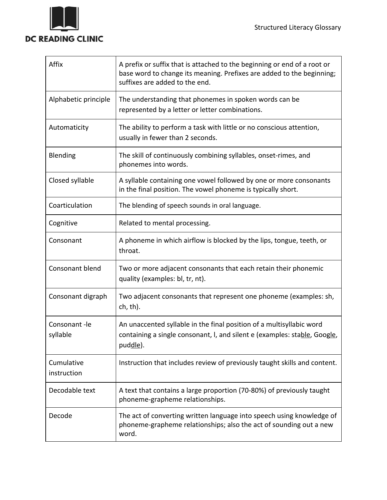

 $\overline{\phantom{a}}$ 

| Affix                     | A prefix or suffix that is attached to the beginning or end of a root or<br>base word to change its meaning. Prefixes are added to the beginning;<br>suffixes are added to the end. |
|---------------------------|-------------------------------------------------------------------------------------------------------------------------------------------------------------------------------------|
| Alphabetic principle      | The understanding that phonemes in spoken words can be<br>represented by a letter or letter combinations.                                                                           |
| Automaticity              | The ability to perform a task with little or no conscious attention,<br>usually in fewer than 2 seconds.                                                                            |
| Blending                  | The skill of continuously combining syllables, onset-rimes, and<br>phonemes into words.                                                                                             |
| Closed syllable           | A syllable containing one vowel followed by one or more consonants<br>in the final position. The vowel phoneme is typically short.                                                  |
| Coarticulation            | The blending of speech sounds in oral language.                                                                                                                                     |
| Cognitive                 | Related to mental processing.                                                                                                                                                       |
| Consonant                 | A phoneme in which airflow is blocked by the lips, tongue, teeth, or<br>throat.                                                                                                     |
| Consonant blend           | Two or more adjacent consonants that each retain their phonemic<br>quality (examples: bl, tr, nt).                                                                                  |
| Consonant digraph         | Two adjacent consonants that represent one phoneme (examples: sh,<br>ch, th).                                                                                                       |
| Consonant-le<br>syllable  | An unaccented syllable in the final position of a multisyllabic word<br>containing a single consonant, I, and silent e (examples: stable, Google,<br>puddle).                       |
| Cumulative<br>instruction | Instruction that includes review of previously taught skills and content.                                                                                                           |
| Decodable text            | A text that contains a large proportion (70-80%) of previously taught<br>phoneme-grapheme relationships.                                                                            |
| Decode                    | The act of converting written language into speech using knowledge of<br>phoneme-grapheme relationships; also the act of sounding out a new<br>word.                                |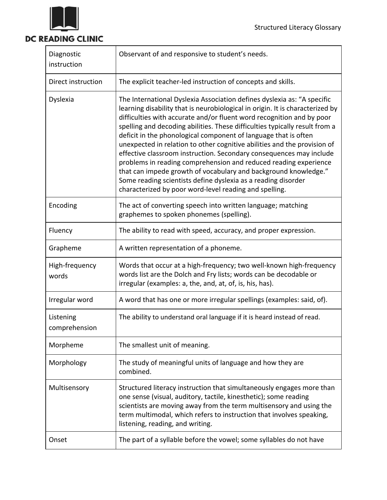

## DC READING CLINIC

| Diagnostic<br>instruction  | Observant of and responsive to student's needs.                                                                                                                                                                                                                                                                                                                                                                                                                                                                                                                                                                                                                                                                                                                                                          |
|----------------------------|----------------------------------------------------------------------------------------------------------------------------------------------------------------------------------------------------------------------------------------------------------------------------------------------------------------------------------------------------------------------------------------------------------------------------------------------------------------------------------------------------------------------------------------------------------------------------------------------------------------------------------------------------------------------------------------------------------------------------------------------------------------------------------------------------------|
| Direct instruction         | The explicit teacher-led instruction of concepts and skills.                                                                                                                                                                                                                                                                                                                                                                                                                                                                                                                                                                                                                                                                                                                                             |
| Dyslexia                   | The International Dyslexia Association defines dyslexia as: "A specific<br>learning disability that is neurobiological in origin. It is characterized by<br>difficulties with accurate and/or fluent word recognition and by poor<br>spelling and decoding abilities. These difficulties typically result from a<br>deficit in the phonological component of language that is often<br>unexpected in relation to other cognitive abilities and the provision of<br>effective classroom instruction. Secondary consequences may include<br>problems in reading comprehension and reduced reading experience<br>that can impede growth of vocabulary and background knowledge."<br>Some reading scientists define dyslexia as a reading disorder<br>characterized by poor word-level reading and spelling. |
| Encoding                   | The act of converting speech into written language; matching<br>graphemes to spoken phonemes (spelling).                                                                                                                                                                                                                                                                                                                                                                                                                                                                                                                                                                                                                                                                                                 |
| Fluency                    | The ability to read with speed, accuracy, and proper expression.                                                                                                                                                                                                                                                                                                                                                                                                                                                                                                                                                                                                                                                                                                                                         |
| Grapheme                   | A written representation of a phoneme.                                                                                                                                                                                                                                                                                                                                                                                                                                                                                                                                                                                                                                                                                                                                                                   |
| High-frequency<br>words    | Words that occur at a high-frequency; two well-known high-frequency<br>words list are the Dolch and Fry lists; words can be decodable or<br>irregular (examples: a, the, and, at, of, is, his, has).                                                                                                                                                                                                                                                                                                                                                                                                                                                                                                                                                                                                     |
| Irregular word             | A word that has one or more irregular spellings (examples: said, of).                                                                                                                                                                                                                                                                                                                                                                                                                                                                                                                                                                                                                                                                                                                                    |
| Listening<br>comprehension | The ability to understand oral language if it is heard instead of read.                                                                                                                                                                                                                                                                                                                                                                                                                                                                                                                                                                                                                                                                                                                                  |
| Morpheme                   | The smallest unit of meaning.                                                                                                                                                                                                                                                                                                                                                                                                                                                                                                                                                                                                                                                                                                                                                                            |
| Morphology                 | The study of meaningful units of language and how they are<br>combined.                                                                                                                                                                                                                                                                                                                                                                                                                                                                                                                                                                                                                                                                                                                                  |
| Multisensory               | Structured literacy instruction that simultaneously engages more than<br>one sense (visual, auditory, tactile, kinesthetic); some reading<br>scientists are moving away from the term multisensory and using the<br>term multimodal, which refers to instruction that involves speaking,<br>listening, reading, and writing.                                                                                                                                                                                                                                                                                                                                                                                                                                                                             |
| Onset                      | The part of a syllable before the vowel; some syllables do not have                                                                                                                                                                                                                                                                                                                                                                                                                                                                                                                                                                                                                                                                                                                                      |

<u> 1989 - Johann Stoff, deutscher Stoffen und der Stoffen und der Stoffen und der Stoffen und der Stoffen und der</u>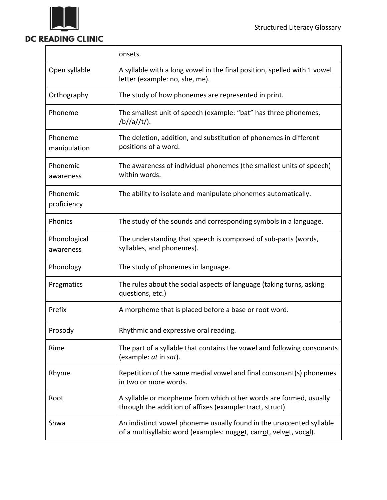

## **DC READING CLINIC**

|                           | onsets.                                                                                                                                    |
|---------------------------|--------------------------------------------------------------------------------------------------------------------------------------------|
| Open syllable             | A syllable with a long vowel in the final position, spelled with 1 vowel<br>letter (example: no, she, me).                                 |
| Orthography               | The study of how phonemes are represented in print.                                                                                        |
| Phoneme                   | The smallest unit of speech (example: "bat" has three phonemes,<br>/b//a//t/).                                                             |
| Phoneme<br>manipulation   | The deletion, addition, and substitution of phonemes in different<br>positions of a word.                                                  |
| Phonemic<br>awareness     | The awareness of individual phonemes (the smallest units of speech)<br>within words.                                                       |
| Phonemic<br>proficiency   | The ability to isolate and manipulate phonemes automatically.                                                                              |
| Phonics                   | The study of the sounds and corresponding symbols in a language.                                                                           |
| Phonological<br>awareness | The understanding that speech is composed of sub-parts (words,<br>syllables, and phonemes).                                                |
| Phonology                 | The study of phonemes in language.                                                                                                         |
| Pragmatics                | The rules about the social aspects of language (taking turns, asking<br>questions, etc.)                                                   |
| Prefix                    | A morpheme that is placed before a base or root word.                                                                                      |
| Prosody                   | Rhythmic and expressive oral reading.                                                                                                      |
| Rime                      | The part of a syllable that contains the vowel and following consonants<br>(example: at in sat).                                           |
| Rhyme                     | Repetition of the same medial vowel and final consonant(s) phonemes<br>in two or more words.                                               |
| Root                      | A syllable or morpheme from which other words are formed, usually<br>through the addition of affixes (example: tract, struct)              |
| Shwa                      | An indistinct vowel phoneme usually found in the unaccented syllable<br>of a multisyllabic word (examples: nugget, carrot, velvet, vocal). |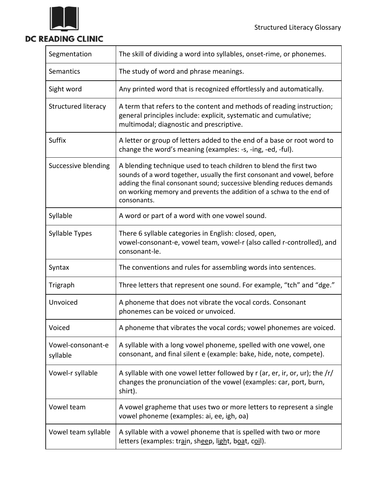

## DC READING CLINIC

| Segmentation                  | The skill of dividing a word into syllables, onset-rime, or phonemes.                                                                                                                                                                                                                                          |
|-------------------------------|----------------------------------------------------------------------------------------------------------------------------------------------------------------------------------------------------------------------------------------------------------------------------------------------------------------|
| Semantics                     | The study of word and phrase meanings.                                                                                                                                                                                                                                                                         |
| Sight word                    | Any printed word that is recognized effortlessly and automatically.                                                                                                                                                                                                                                            |
| Structured literacy           | A term that refers to the content and methods of reading instruction;<br>general principles include: explicit, systematic and cumulative;<br>multimodal; diagnostic and prescriptive.                                                                                                                          |
| Suffix                        | A letter or group of letters added to the end of a base or root word to<br>change the word's meaning (examples: -s, -ing, -ed, -ful).                                                                                                                                                                          |
| Successive blending           | A blending technique used to teach children to blend the first two<br>sounds of a word together, usually the first consonant and vowel, before<br>adding the final consonant sound; successive blending reduces demands<br>on working memory and prevents the addition of a schwa to the end of<br>consonants. |
| Syllable                      | A word or part of a word with one vowel sound.                                                                                                                                                                                                                                                                 |
| Syllable Types                | There 6 syllable categories in English: closed, open,<br>vowel-consonant-e, vowel team, vowel-r (also called r-controlled), and<br>consonant-le.                                                                                                                                                               |
| Syntax                        | The conventions and rules for assembling words into sentences.                                                                                                                                                                                                                                                 |
| Trigraph                      | Three letters that represent one sound. For example, "tch" and "dge."                                                                                                                                                                                                                                          |
| Unvoiced                      | A phoneme that does not vibrate the vocal cords. Consonant<br>phonemes can be voiced or unvoiced.                                                                                                                                                                                                              |
| Voiced                        | A phoneme that vibrates the vocal cords; vowel phonemes are voiced.                                                                                                                                                                                                                                            |
| Vowel-consonant-e<br>syllable | A syllable with a long vowel phoneme, spelled with one vowel, one<br>consonant, and final silent e (example: bake, hide, note, compete).                                                                                                                                                                       |
| Vowel-r syllable              | A syllable with one vowel letter followed by r (ar, er, ir, or, ur); the $/r/$<br>changes the pronunciation of the vowel (examples: car, port, burn,<br>shirt).                                                                                                                                                |
| Vowel team                    | A vowel grapheme that uses two or more letters to represent a single<br>vowel phoneme (examples: ai, ee, igh, oa)                                                                                                                                                                                              |
| Vowel team syllable           | A syllable with a vowel phoneme that is spelled with two or more<br>letters (examples: train, sheep, light, boat, coil).                                                                                                                                                                                       |

<u> 1989 - Johann Stoff, deutscher Stoffen und der Stoffen und der Stoffen und der Stoffen und der Stoffen und der</u>